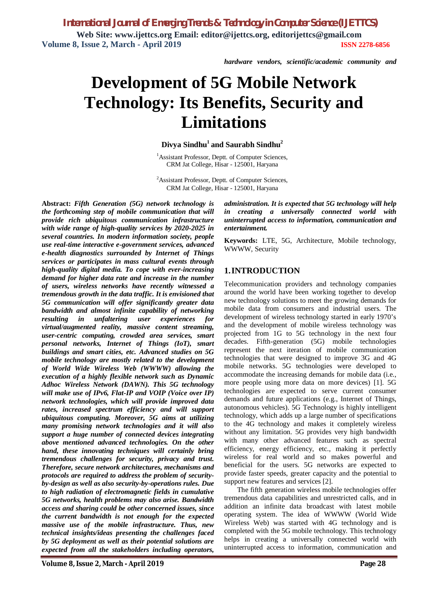*hardware vendors, scientific/academic community and* 

# **Development of 5G Mobile Network Technology: Its Benefits, Security and Limitations**

### **Divya Sindhu<sup>1</sup>and Saurabh Sindhu<sup>2</sup>**

<sup>1</sup>Assistant Professor, Deptt. of Computer Sciences, CRM Jat College, Hisar - 125001, Haryana

<sup>2</sup>Assistant Professor, Deptt. of Computer Sciences, CRM Jat College, Hisar - 125001, Haryana

**Abstract:** *Fifth Generation (5G) network technology is the forthcoming step of mobile communication that will provide rich ubiquitous communication infrastructure with wide range of high-quality services by 2020-2025 in several countries. In modern information society, people use real-time interactive e-government services, advanced e-health diagnostics surrounded by Internet of Things services or participates in mass cultural events through high-quality digital media. To cope with ever-increasing demand for higher data rate and increase in the number of users, wireless networks have recently witnessed a tremendous growth in the data traffic. It is envisioned that 5G communication will offer significantly greater data bandwidth and almost infinite capability of networking resulting in unfaltering user experiences for virtual/augmented reality, massive content streaming, user-centric computing, crowded area services, smart personal networks, Internet of Things (IoT), smart buildings and smart cities, etc. Advanced studies on 5G mobile technology are mostly related to the development of World Wide Wireless Web (WWWW) allowing the execution of a highly flexible network such as Dynamic Adhoc Wireless Network (DAWN). This 5G technology will make use of IPv6, Flat-IP and VOIP (Voice over IP) network technologies, which will provide improved data rates, increased spectrum efficiency and will support ubiquitous computing. Moreover, 5G aims at utilizing many promising network technologies and it will also support a huge number of connected devices integrating above mentioned advanced technologies. On the other hand, these innovating techniques will certainly bring tremendous challenges for security, privacy and trust. Therefore, secure network architectures, mechanisms and protocols are required to address the problem of securityby-design as well as also security-by-operations rules. Due to high radiation of electromagnetic fields in cumulative 5G networks, health problems may also arise. Bandwidth access and sharing could be other concerned issues, since the current bandwidth is not enough for the expected massive use of the mobile infrastructure. Thus, new technical insights/ideas presenting the challenges faced by 5G deployment as well as their potential solutions are expected from all the stakeholders including operators,* 

*administration. It is expected that 5G technology will help in creating a universally connected world with uninterrupted access to information, communication and entertainment.*

**Keywords:** LTE, 5G, Architecture, Mobile technology, WWWW, Security

### **1.INTRODUCTION**

Telecommunication providers and technology companies around the world have been working together to develop new technology solutions to meet the growing demands for mobile data from consumers and industrial users. The development of wireless technology started in early 1970's and the development of mobile wireless technology was projected from 1G to 5G technology in the next four decades. Fifth-generation (5G) mobile technologies represent the next iteration of mobile communication technologies that were designed to improve 3G and 4G mobile networks. 5G technologies were developed to accommodate the increasing demands for mobile data (i.e., more people using more data on more devices) [1]. 5G technologies are expected to serve current consumer demands and future applications (e.g., Internet of Things, autonomous vehicles). 5G Technology is highly intelligent technology, which adds up a large number of specifications to the 4G technology and makes it completely wireless without any limitation. 5G provides very high bandwidth with many other advanced features such as spectral efficiency, energy efficiency, etc., making it perfectly wireless for real world and so makes powerful and beneficial for the users. 5G networks are expected to provide faster speeds, greater capacity and the potential to support new features and services [2].

The fifth generation wireless mobile technologies offer tremendous data capabilities and unrestricted calls, and in addition an infinite data broadcast with latest mobile operating system. The idea of WWWW (World Wide Wireless Web) was started with 4G technology and is completed with the 5G mobile technology. This technology helps in creating a universally connected world with uninterrupted access to information, communication and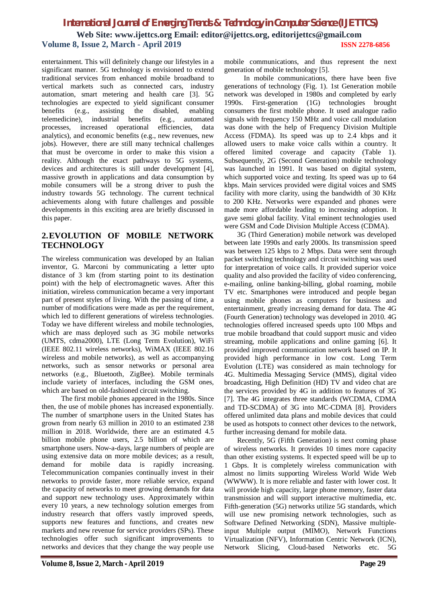entertainment. This will definitely change our lifestyles in a significant manner. 5G technology is envisioned to extend traditional services from enhanced mobile broadband to vertical markets such as connected cars, industry automation, smart metering and health care [3]. 5G technologies are expected to yield significant consumer benefits (e.g., assisting the disabled, enabling telemedicine), industrial benefits (e.g., automated processes, increased operational efficiencies, data analytics), and economic benefits (e.g., new revenues, new jobs). However, there are still many technical challenges that must be overcome in order to make this vision a reality. Although the exact pathways to 5G systems, devices and architectures is still under development [4], massive growth in applications and data consumption by mobile consumers will be a strong driver to push the industry towards 5G technology. The current technical achievements along with future challenges and possible developments in this exciting area are briefly discussed in this paper.

# **2.EVOLUTION OF MOBILE NETWORK TECHNOLOGY**

The wireless communication was developed by an Italian inventor, G. Marconi by communicating a letter upto distance of 3 km (from starting point to its destination point) with the help of electromagnetic waves. After this initiation, wireless communication became a very important part of present styles of living. With the passing of time, a number of modifications were made as per the requirement, which led to different generations of wireless technologies. Today we have different wireless and mobile technologies, which are mass deployed such as 3G mobile networks (UMTS, cdma2000), LTE (Long Term Evolution), WiFi (IEEE 802.11 wireless networks), WiMAX (IEEE 802.16 wireless and mobile networks), as well as accompanying networks, such as sensor networks or personal area networks (e.g., Bluetooth, ZigBee). Mobile terminals include variety of interfaces, including the GSM ones, which are based on old-fashioned circuit switching.

The first mobile phones appeared in the 1980s. Since then, the use of mobile phones has increased exponentially. The number of smartphone users in the United States has grown from nearly 63 million in 2010 to an estimated 238 million in 2018. Worldwide, there are an estimated 4.5 billion mobile phone users, 2.5 billion of which are smartphone users. Now-a-days, large numbers of people are using extensive data on more mobile devices; as a result, demand for mobile data is rapidly increasing. Telecommunication companies continually invest in their networks to provide faster, more reliable service, expand the capacity of networks to meet growing demands for data and support new technology uses. Approximately within every 10 years, a new technology solution emerges from industry research that offers vastly improved speeds, supports new features and functions, and creates new markets and new revenue for service providers (SPs). These technologies offer such significant improvements to networks and devices that they change the way people use

mobile communications, and thus represent the next generation of mobile technology [5].

In mobile communications, there have been five generations of technology (Fig. 1). 1st Generation mobile network was developed in 1980s and completed by early 1990s. First-generation (1G) technologies brought consumers the first mobile phone. It used analogue radio signals with frequency 150 MHz and voice call modulation was done with the help of Frequency Division Multiple Access (FDMA). Its speed was up to 2.4 kbps and it allowed users to make voice calls within a country. It offered limited coverage and capacity (Table 1). Subsequently, 2G (Second Generation) mobile technology was launched in 1991. It was based on digital system, which supported voice and texting. Its speed was up to 64 kbps. Main services provided were digital voices and SMS facility with more clarity, using the bandwidth of 30 KHz to 200 KHz. Networks were expanded and phones were made more affordable leading to increasing adoption. It gave semi global facility. Vital eminent technologies used were GSM and Code Division Multiple Access (CDMA).

3G (Third Generation) mobile network was developed between late 1990s and early 2000s. Its transmission speed was between 125 kbps to 2 Mbps. Data were sent through packet switching technology and circuit switching was used for interpretation of voice calls. It provided superior voice quality and also provided the facility of video conferencing, e-mailing, online banking-billing, global roaming, mobile TV etc. Smartphones were introduced and people began using mobile phones as computers for business and entertainment, greatly increasing demand for data. The 4G (Fourth Generation) technology was developed in 2010. 4G technologies offered increased speeds upto 100 Mbps and true mobile broadband that could support music and video streaming, mobile applications and online gaming [6]. It provided improved communication network based on IP. It provided high performance in low cost. Long Term Evolution (LTE) was considered as main technology for 4G. Multimedia Messaging Service (MMS), digital video broadcasting, High Definition (HD) TV and video chat are the services provided by 4G in addition to features of 3G [7]. The 4G integrates three standards (WCDMA, CDMA and TD-SCDMA) of 3G into MC-CDMA [8]. Providers offered unlimited data plans and mobile devices that could be used as hotspots to connect other devices to the network, further increasing demand for mobile data.

Recently, 5G (Fifth Generation) is next coming phase of wireless networks. It provides 10 times more capacity than other existing systems. It expected speed will be up to 1 Gbps. It is completely wireless communication with almost no limits supporting Wireless World Wide Web (WWWW). It is more reliable and faster with lower cost. It will provide high capacity, large phone memory, faster data transmission and will support interactive multimedia, etc. Fifth-generation (5G) networks utilize 5G standards, which will use new promising network technologies, such as Software Defined Networking (SDN), Massive multipleinput Multiple output (MIMO), Network Functions Virtualization (NFV), Information Centric Network (ICN), Network Slicing, Cloud-based Networks etc. 5G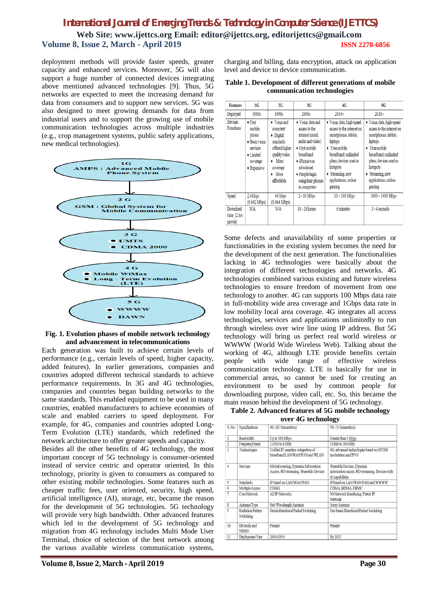deployment methods will provide faster speeds, greater capacity and enhanced services. Moreover, 5G will also support a huge number of connected devices integrating above mentioned advanced technologies [9]. Thus, 5G networks are expected to meet the increasing demand for data from consumers and to support new services. 5G was also designed to meet growing demands for data from industrial users and to support the growing use of mobile communication technologies across multiple industries (e.g., crop management systems, public safety applications, new medical technologies).



#### **Fig. 1. Evolution phases of mobile network technology and advancement in telecommunications**

Each generation was built to achieve certain levels of performance (e.g., certain levels of speed, higher capacity, added features). In earlier generations, companies and countries adopted different technical standards to achieve performance requirements. In 3G and 4G technologies, companies and countries began building networks to the same standards. This enabled equipment to be used in many countries, enabled manufacturers to achieve economies of scale and enabled carriers to speed deployment. For example, for 4G, companies and countries adopted Long-Term Evolution (LTE) standards, which redefined the network architecture to offer greater speeds and capacity.

Besides all the other benefits of 4G technology, the most important concept of 5G technology is consumer-oriented instead of service centric and operator oriented. In this technology, priority is given to consumers as compared to other existing mobile technologies. Some features such as cheaper traffic fees, user oriented, security, high speed, artificial intelligence (AI), storage, etc, became the reason for the development of 5G technologies. 5G technology will provide very high bandwidth. Other advanced features which led to the development of 5G technology and migration from 4G technology includes Multi Mode User Terminal, choice of selection of the best network among the various available wireless communication systems,

charging and billing, data encryption, attack on application level and device to device communication.

| Table 1. Development of different generations of mobile |
|---------------------------------------------------------|
| communication technologies                              |

| <b>Features</b>                              | 1G                                                                                                | 2G                                                                                                                                             | 3G                                                                                                                                                                                                      | 4G                                                                                                                                                                                                                                         | 5G                                                                                                                                                                                                                                        |
|----------------------------------------------|---------------------------------------------------------------------------------------------------|------------------------------------------------------------------------------------------------------------------------------------------------|---------------------------------------------------------------------------------------------------------------------------------------------------------------------------------------------------------|--------------------------------------------------------------------------------------------------------------------------------------------------------------------------------------------------------------------------------------------|-------------------------------------------------------------------------------------------------------------------------------------------------------------------------------------------------------------------------------------------|
| Deployed                                     | 1980s                                                                                             | 1990s                                                                                                                                          | 2000s                                                                                                                                                                                                   | $2010 -$                                                                                                                                                                                                                                   | $2018 -$                                                                                                                                                                                                                                  |
| <b>Devices</b><br><b>Functions</b>           | $•$ First<br>mobile<br>phone<br>· Basic voice<br>services<br>• Limited<br>coverage<br>• Expensive | • Voice and<br>some text<br>· Digital<br>standards<br>offered higher<br>quality voice<br>More<br>$\bullet$<br>coverage<br>• More<br>affordable | · Voice, data and<br>access to the<br>internet (email,<br>audio and video)<br>$\bullet$ First mobile<br>broadband<br>· iPhone was<br>introduced<br>· People begin<br>using their phones<br>as computers | · Voice, data, high-speed<br>access to the internet on<br>smartphones, tablets,<br>laptops<br>• True mobile<br>broadband; unlimited<br>plans; devices used as<br>hotspots<br>Streaming, new<br>$\bullet$<br>applications, online<br>gaming | · Voice, data, high-speed<br>access to the internet on<br>smartphones, tablets,<br>laptops<br>• Truemobile<br>broadband; unlimited<br>plans; devices used as<br>hotspots<br>Streaming, new<br>$\bullet$<br>applications, online<br>gaming |
| Speed                                        | 2.4 kbps<br>$(0.002 \text{ Mbps})$                                                                | 64 kbps<br>$(0.064$ Mbps)                                                                                                                      | $2 - 10$ Mbps                                                                                                                                                                                           | 10 - 100 Mbps                                                                                                                                                                                                                              | 1000 - 1400 Mbps                                                                                                                                                                                                                          |
| Download<br>time $(2 \text{ hrs})$<br>movie) | N/A                                                                                               | N/A                                                                                                                                            | $10 - 26$ hours                                                                                                                                                                                         | 6 minutes                                                                                                                                                                                                                                  | 3 - 4 seconds                                                                                                                                                                                                                             |

Some defects and unavailability of some properties or functionalities in the existing system becomes the need for the development of the next generation. The functionalities lacking in 4G technologies were basically about the integration of different technologies and networks. 4G technologies combined various existing and future wireless technologies to ensure freedom of movement from one technology to another. 4G can supports 100 Mbps data rate in full-mobility wide area coverage and 1Gbps data rate in low mobility local area coverage. 4G integrates all access technologies, services and applications unlimitedly to run through wireless over wire line using IP address. But 5G technology will bring us perfect real world wireless or WWWW (World Wide Wireless Web). Talking about the working of 4G, although LTE provide benefits certain people with wide range of effective wireless communication technology. LTE is basically for use in commercial areas, so cannot be used for creating an environment to be used by common people for downloading purpose, video call, etc. So, this became the main reason behind the development of 5G technology.

#### **Table 2. Advanced features of 5G mobile technology**

**over 4G technology**

| S.No.                   | Specifications                        | 4G (IV Generation)                                                            | 5G (V Generation)                                                                              |
|-------------------------|---------------------------------------|-------------------------------------------------------------------------------|------------------------------------------------------------------------------------------------|
| 1                       | <b>Bandwidth</b>                      | Up to 100 Mbps                                                                | Greater than 1 Gbps                                                                            |
| $\overline{2}$          | Frequency band                        | 2 GHz to 8 GHz                                                                | 3 GHz to 300 GHz                                                                               |
| $\overline{\mathbf{3}}$ | Technologies                          | Unified IP, seamless integration of<br>broadband LAN/WAN/PAN and WLAN         | 4G, advanced technologies based on OFDM<br>modulation and IPV6                                 |
| $\overline{4}$          | <b>Services</b>                       | Global roaming, Dynamic Information<br>Access, HD streaming, Wearable Devices | Wearable Devices, Dynamic<br>information access, HD streaming, Devices with<br>AI capabilities |
| 5                       | <b>Standards</b>                      | IP based on LAN/WAN/PAN                                                       | IP based on LAN/WAN/PAN and WWWW                                                               |
| 6                       | Multiple Access                       | <b>CDMA</b>                                                                   | CDMA, BDMA, FBMC                                                                               |
| 7                       | Core Network                          | <b>All IP Networks</b>                                                        | 5G Network Interfacing, Flatter IP<br><b>Network</b>                                           |
| 8                       | Antenna Type                          | Sub Wavelength Antenna                                                        | Array Antenna                                                                                  |
| 9                       | <b>Radiation Pattern</b><br>Switching | Omni-directional Packet Switching                                             | Fan-beam Directional Packet Switching                                                          |
| 10                      | Diversity and<br><b>MIMO</b>          | Present                                                                       | Present                                                                                        |
| 11                      | Deployment Year                       | 2000-2010                                                                     | By 2020                                                                                        |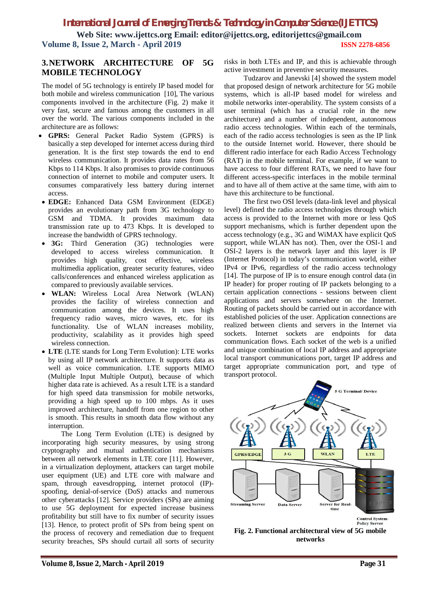# *International Journal of Emerging Trends & Technology in Computer Science (IJETTCS)*

**Web Site: www.ijettcs.org Email: editor@ijettcs.org, editorijettcs@gmail.com Volume 8, Issue 2, March - April 2019 ISSN 2278-6856**

### **3.NETWORK ARCHITECTURE OF 5G MOBILE TECHNOLOGY**

The model of 5G technology is entirely IP based model for both mobile and wireless communication [10], The various components involved in the architecture (Fig. 2) make it very fast, secure and famous among the customers in all over the world. The various components included in the architecture are as follows:

- **GPRS:** General Packet Radio System (GPRS) is basically a step developed for internet access during third generation. It is the first step towards the end to end wireless communication. It provides data rates from 56 Kbps to 114 Kbps. It also promises to provide continuous connection of internet to mobile and computer users. It consumes comparatively less battery during internet access.
- **EDGE:** Enhanced Data GSM Environment (EDGE) provides an evolutionary path from 3G technology to GSM and TDMA. It provides maximum data transmission rate up to 473 Kbps. It is developed to increase the bandwidth of GPRS technology.
- 3G: Third Generation (3G) technologies were developed to access wireless communication. It provides high quality, cost effective, wireless multimedia application, greater security features, video calls/conferences and enhanced wireless application as compared to previously available services.
- **WLAN:** Wireless Local Area Network (WLAN) provides the facility of wireless connection and communication among the devices. It uses high frequency radio waves, micro waves, etc. for its functionality. Use of WLAN increases mobility, productivity, scalability as it provides high speed wireless connection.
- **LTE** (LTE stands for Long Term Evolution): LTE works by using all IP network architecture. It supports data as well as voice communication. LTE supports MIMO (Multiple Input Multiple Output), because of which higher data rate is achieved. As a result LTE is a standard for high speed data transmission for mobile networks, providing a high speed up to 100 mbps. As it uses improved architecture, handoff from one region to other is smooth. This results in smooth data flow without any interruption.

The Long Term Evolution (LTE) is designed by incorporating high security measures, by using strong cryptography and mutual authentication mechanisms between all network elements in LTE core [11]. However, in a virtualization deployment, attackers can target mobile user equipment (UE) and LTE core with malware and spam, through eavesdropping, internet protocol (IP) spoofing, denial-of-service (DoS) attacks and numerous other cyberattacks [12]. Service providers (SPs) are aiming to use 5G deployment for expected increase business profitability but still have to fix number of security issues [13]. Hence, to protect profit of SPs from being spent on the process of recovery and remediation due to frequent security breaches, SPs should curtail all sorts of security

risks in both LTEs and IP, and this is achievable through active investment in preventive security measures.

Tudzarov and Janevski [4] showed the system model that proposed design of network architecture for 5G mobile systems, which is all-IP based model for wireless and mobile networks inter-operability. The system consists of a user terminal (which has a crucial role in the new architecture) and a number of independent, autonomous radio access technologies. Within each of the terminals, each of the radio access technologies is seen as the IP link to the outside Internet world. However, there should be different radio interface for each Radio Access Technology (RAT) in the mobile terminal. For example, if we want to have access to four different RATs, we need to have four different access-specific interfaces in the mobile terminal and to have all of them active at the same time, with aim to have this architecture to be functional.

The first two OSI levels (data-link level and physical level) defined the radio access technologies through which access is provided to the Internet with more or less QoS support mechanisms, which is further dependent upon the access technology (e.g., 3G and WiMAX have explicit QoS support, while WLAN has not). Then, over the OSI-1 and OSI-2 layers is the network layer and this layer is IP (Internet Protocol) in today's communication world, either IPv4 or IPv6, regardless of the radio access technology [14]. The purpose of IP is to ensure enough control data (in IP header) for proper routing of IP packets belonging to a certain application connections - sessions between client applications and servers somewhere on the Internet. Routing of packets should be carried out in accordance with established policies of the user. Application connections are realized between clients and servers in the Internet via sockets. Internet sockets are endpoints for data communication flows. Each socket of the web is a unified and unique combination of local IP address and appropriate local transport communications port, target IP address and target appropriate communication port, and type of transport protocol.



**Fig. 2. Functional architectural view of 5G mobile networks**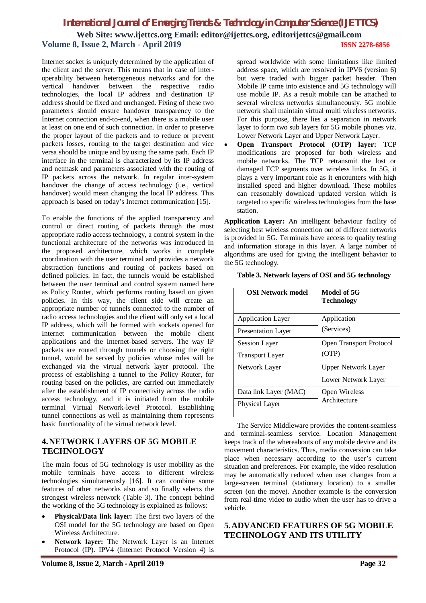Internet socket is uniquely determined by the application of the client and the server. This means that in case of interoperability between heterogeneous networks and for the vertical handover between the respective radio technologies, the local IP address and destination IP address should be fixed and unchanged. Fixing of these two parameters should ensure handover transparency to the Internet connection end-to-end, when there is a mobile user at least on one end of such connection. In order to preserve the proper layout of the packets and to reduce or prevent packets losses, routing to the target destination and vice versa should be unique and by using the same path. Each IP interface in the terminal is characterized by its IP address and netmask and parameters associated with the routing of IP packets across the network. In regular inter-system handover the change of access technology (i.e., vertical handover) would mean changing the local IP address. This approach is based on today's Internet communication [15].

To enable the functions of the applied transparency and control or direct routing of packets through the most appropriate radio access technology, a control system in the functional architecture of the networks was introduced in the proposed architecture, which works in complete coordination with the user terminal and provides a network abstraction functions and routing of packets based on defined policies. In fact, the tunnels would be established between the user terminal and control system named here as Policy Router, which performs routing based on given policies. In this way, the client side will create an appropriate number of tunnels connected to the number of radio access technologies and the client will only set a local IP address, which will be formed with sockets opened for Internet communication between the mobile client applications and the Internet-based servers. The way IP packets are routed through tunnels or choosing the right tunnel, would be served by policies whose rules will be exchanged via the virtual network layer protocol. The process of establishing a tunnel to the Policy Router, for routing based on the policies, are carried out immediately after the establishment of IP connectivity across the radio access technology, and it is initiated from the mobile terminal Virtual Network-level Protocol. Establishing tunnel connections as well as maintaining them represents basic functionality of the virtual network level.

### **4.NETWORK LAYERS OF 5G MOBILE TECHNOLOGY**

The main focus of 5G technology is user mobility as the mobile terminals have access to different wireless technologies simultaneously [16]. It can combine some features of other networks also and so finally selects the strongest wireless network (Table 3). The concept behind the working of the 5G technology is explained as follows:

- **Physical/Data link layer:** The first two layers of the OSI model for the 5G technology are based on Open Wireless Architecture.
- **Network layer:** The Network Layer is an Internet Protocol (IP). IPV4 (Internet Protocol Version 4) is

spread worldwide with some limitations like limited address space, which are resolved in IPV6 (version 6) but were traded with bigger packet header. Then Mobile IP came into existence and 5G technology will use mobile IP. As a result mobile can be attached to several wireless networks simultaneously. 5G mobile network shall maintain virtual multi wireless networks. For this purpose, there lies a separation in network layer to form two sub layers for 5G mobile phones viz. Lower Network Layer and Upper Network Layer.

 **Open Transport Protocol (OTP) layer:** TCP modifications are proposed for both wireless and mobile networks. The TCP retransmit the lost or damaged TCP segments over wireless links. In 5G, it plays a very important role as it encounters with high installed speed and higher download**.** These mobiles can reasonably download updated version which is targeted to specific wireless technologies from the base station.

**Application Layer:** An intelligent behaviour facility of selecting best wireless connection out of different networks is provided in 5G. Terminals have access to quality testing and information storage in this layer. A large number of algorithms are used for giving the intelligent behavior to the 5G technology.

| Model of 5G<br>Technology     |  |  |
|-------------------------------|--|--|
| Application                   |  |  |
| (Services)                    |  |  |
| Open Transport Protocol       |  |  |
| (OTP)                         |  |  |
| <b>Upper Network Layer</b>    |  |  |
| Lower Network Layer           |  |  |
| Open Wireless<br>Architecture |  |  |
|                               |  |  |

 **Table 3. Network layers of OSI and 5G technology**

The Service Middleware provides the content-seamless and terminal-seamless service. Location Management keeps track of the whereabouts of any mobile device and its movement characteristics. Thus, media conversion can take place when necessary according to the user's current situation and preferences. For example, the video resolution may be automatically reduced when user changes from a large-screen terminal (stationary location) to a smaller screen (on the move). Another example is the conversion from real-time video to audio when the user has to drive a vehicle.

### **5.ADVANCED FEATURES OF 5G MOBILE TECHNOLOGY AND ITS UTILITY**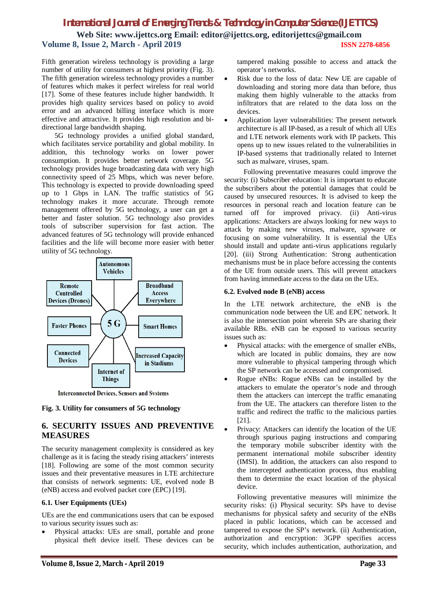# *International Journal of Emerging Trends & Technology in Computer Science (IJETTCS)*

**Web Site: www.ijettcs.org Email: editor@ijettcs.org, editorijettcs@gmail.com Volume 8, Issue 2, March - April 2019 ISSN 2278-6856**

Fifth generation wireless technology is providing a large number of utility for consumers at highest priority (Fig. 3). The fifth generation wireless technology provides a number of features which makes it perfect wireless for real world [17]. Some of these features include higher bandwidth. It provides high quality services based on policy to avoid error and an advanced billing interface which is more effective and attractive. It provides high resolution and bidirectional large bandwidth shaping.

5G technology provides a unified global standard, which facilitates service portability and global mobility. In addition, this technology works on lower power consumption. It provides better network coverage. 5G technology provides huge broadcasting data with very high connectivity speed of 25 Mbps, which was never before. This technology is expected to provide downloading speed up to 1 Gbps in LAN. The traffic statistics of 5G technology makes it more accurate. Through remote management offered by 5G technology, a user can get a better and faster solution. 5G technology also provides tools of subscriber supervision for fast action. The advanced features of 5G technology will provide enhanced facilities and the life will become more easier with better utility of 5G technology.



**Interconnected Devices, Sensors and Systems** 

**Fig. 3. Utility for consumers of 5G technology**

# **6. SECURITY ISSUES AND PREVENTIVE MEASURES**

The security management complexity is considered as key challenge as it is facing the steady rising attackers' interests [18]. Following are some of the most common security issues and their preventative measures in LTE architecture that consists of network segments: UE, evolved node B (eNB) access and evolved packet core (EPC) [19].

### **6.1. User Equipments (UEs)**

UEs are the end communications users that can be exposed to various security issues such as:

 Physical attacks: UEs are small, portable and prone physical theft device itself. These devices can be tampered making possible to access and attack the operator's networks.

- Risk due to the loss of data: New UE are capable of downloading and storing more data than before, thus making them highly vulnerable to the attacks from infiltrators that are related to the data loss on the devices.
- Application layer vulnerabilities: The present network architecture is all IP-based, as a result of which all UEs and LTE network elements work with IP packets. This opens up to new issues related to the vulnerabilities in IP-based systems that traditionally related to Internet such as malware, viruses, spam.

Following preventative measures could improve the security: (i) Subscriber education: It is important to educate the subscribers about the potential damages that could be caused by unsecured resources. It is advised to keep the resources in personal reach and location feature can be turned off for improved privacy. (ii) Anti-virus applications: Attackers are always looking for new ways to attack by making new viruses, malware, spyware or focusing on some vulnerability. It is essential the UEs should install and update anti-virus applications regularly [20]. (iii) Strong Authentication: Strong authentication mechanisms must be in place before accessing the contents of the UE from outside users. This will prevent attackers from having immediate access to the data on the UEs.

### **6.2. Evolved node B (eNB) access**

In the LTE network architecture, the eNB is the communication node between the UE and EPC network. It is also the intersection point wherein SPs are sharing their available RBs. eNB can be exposed to various security issues such as:

- Physical attacks: with the emergence of smaller eNBs, which are located in public domains, they are now more vulnerable to physical tampering through which the SP network can be accessed and compromised.
- Rogue eNBs: Rogue eNBs can be installed by the attackers to emulate the operator's node and through them the attackers can intercept the traffic emanating from the UE. The attackers can therefore listen to the traffic and redirect the traffic to the malicious parties [21].
- Privacy: Attackers can identify the location of the UE through spurious paging instructions and comparing the temporary mobile subscriber identity with the permanent international mobile subscriber identity (IMSI). In addition, the attackers can also respond to the intercepted authentication process, thus enabling them to determine the exact location of the physical device.

Following preventative measures will minimize the security risks: (i) Physical security: SPs have to devise mechanisms for physical safety and security of the eNBs placed in public locations, which can be accessed and tampered to expose the SP's network. (ii) Authentication, authorization and encryption: 3GPP specifies access security, which includes authentication, authorization, and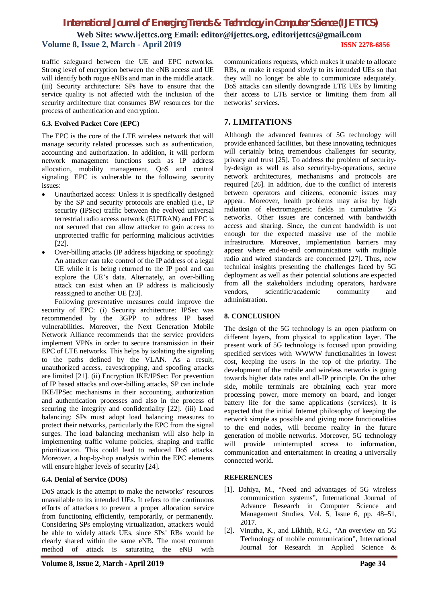traffic safeguard between the UE and EPC networks. Strong level of encryption between the eNB access and UE will identify both rogue eNBs and man in the middle attack. (iii) Security architecture: SPs have to ensure that the service quality is not affected with the inclusion of the security architecture that consumes BW resources for the process of authentication and encryption.

### **6.3. Evolved Packet Core (EPC)**

The EPC is the core of the LTE wireless network that will manage security related processes such as authentication, accounting and authorization. In addition, it will perform network management functions such as IP address allocation, mobility management, QoS and control signaling. EPC is vulnerable to the following security issues:

- Unauthorized access: Unless it is specifically designed by the SP and security protocols are enabled (i.e., IP security (IPSec) traffic between the evolved universal terrestrial radio access network (EUTRAN) and EPC is not secured that can allow attacker to gain access to unprotected traffic for performing malicious activities [22].
- Over-billing attacks (IP address hijacking or spoofing): An attacker can take control of the IP address of a legal UE while it is being returned to the IP pool and can explore the UE's data. Alternately, an over-billing attack can exist when an IP address is maliciously reassigned to another UE [23].

Following preventative measures could improve the security of EPC: (i) Security architecture: IPSec was recommended by the 3GPP to address IP based vulnerabilities. Moreover, the Next Generation Mobile Network Alliance recommends that the service providers implement VPNs in order to secure transmission in their EPC of LTE networks. This helps by isolating the signaling to the paths defined by the VLAN. As a result, unauthorized access, eavesdropping, and spoofing attacks are limited [21]. (ii) Encryption IKE/IPSec: For prevention of IP based attacks and over-billing attacks, SP can include IKE/IPSec mechanisms in their accounting, authorization and authentication processes and also in the process of securing the integrity and confidentiality [22]. (iii) Load balancing: SPs must adopt load balancing measures to protect their networks, particularly the EPC from the signal surges. The load balancing mechanism will also help in implementing traffic volume policies, shaping and traffic prioritization. This could lead to reduced DoS attacks. Moreover, a hop-by-hop analysis within the EPC elements will ensure higher levels of security [24].

#### **6.4. Denial of Service (DOS)**

DoS attack is the attempt to make the networks' resources unavailable to its intended UEs. It refers to the continuous efforts of attackers to prevent a proper allocation service from functioning efficiently, temporarily, or permanently. Considering SPs employing virtualization, attackers would be able to widely attack UEs, since SPs' RBs would be clearly shared within the same eNB. The most common method of attack is saturating the eNB with

communications requests, which makes it unable to allocate RBs, or make it respond slowly to its intended UEs so that they will no longer be able to communicate adequately. DoS attacks can silently downgrade LTE UEs by limiting their access to LTE service or limiting them from all networks' services.

# **7. LIMITATIONS**

Although the advanced features of 5G technology will provide enhanced facilities, but these innovating techniques will certainly bring tremendous challenges for security, privacy and trust [25]. To address the problem of securityby-design as well as also security-by-operations, secure network architectures, mechanisms and protocols are required [26]. In addition, due to the conflict of interests between operators and citizens, economic issues may appear. Moreover, health problems may arise by high radiation of electromagnetic fields in cumulative 5G networks. Other issues are concerned with bandwidth access and sharing. Since, the current bandwidth is not enough for the expected massive use of the mobile infrastructure. Moreover, implementation barriers may appear where end-to-end communications with multiple radio and wired standards are concerned [27]. Thus, new technical insights presenting the challenges faced by 5G deployment as well as their potential solutions are expected from all the stakeholders including operators, hardware vendors, scientific/academic community and administration.

### **8. CONCLUSION**

The design of the 5G technology is an open platform on different layers, from physical to application layer. The present work of 5G technology is focused upon providing specified services with WWWW functionalities in lowest cost, keeping the users in the top of the priority. The development of the mobile and wireless networks is going towards higher data rates and all-IP principle. On the other side, mobile terminals are obtaining each year more processing power, more memory on board, and longer battery life for the same applications (services). It is expected that the initial Internet philosophy of keeping the network simple as possible and giving more functionalities to the end nodes, will become reality in the future generation of mobile networks. Moreover, 5G technology will provide uninterrupted access to information, communication and entertainment in creating a universally connected world.

### **REFERENCES**

- [1]. Dahiya, M., "Need and advantages of 5G wireless communication systems", International Journal of Advance Research in Computer Science and Management Studies, Vol. 5, Issue 6, pp. 48–51, 2017.
- [2]. Vinutha, K., and Likhith, R.G., "An overview on 5G Technology of mobile communication", International Journal for Research in Applied Science &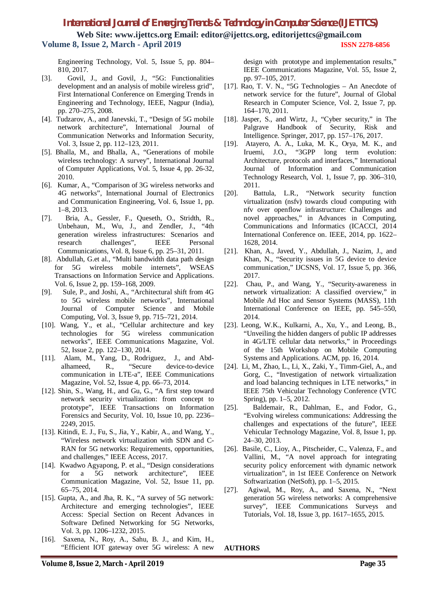# *International Journal of Emerging Trends & Technology in Computer Science (IJETTCS)*

**Web Site: www.ijettcs.org Email: editor@ijettcs.org, editorijettcs@gmail.com Volume 8, Issue 2, March - April 2019 ISSN 2278-6856**

Engineering Technology, Vol. 5, Issue 5, pp. 804– 810, 2017.

- [3]. Govil, J., and Govil, J., "5G: Functionalities development and an analysis of mobile wireless grid", First International Conference on Emerging Trends in Engineering and Technology, IEEE, Nagpur (India), pp. 270–275, 2008.
- [4]. Tudzarov, A., and Janevski, T., "Design of 5G mobile network architecture", International Journal of Communication Networks and Information Security, Vol. 3, Issue 2, pp. 112–123, 2011.
- [5]. Bhalla, M., and Bhalla, A., "Generations of mobile wireless technology: A survey", International Journal of Computer Applications, Vol. 5, Issue 4, pp. 26-32, 2010.
- [6]. Kumar, A., "Comparison of 3G wireless networks and 4G networks", International Journal of Electronics and Communication Engineering, Vol. 6, Issue 1, pp. 1–8, 2013.
- [7]. Bria, A., Gessler, F., Queseth, O., Stridth, R., Unbehaun, M., Wu, J., and Zendler, J., "4th generation wireless infrastructures: Scenarios and research challenges", IEEE Personal Communications, Vol. 8, Issue 6, pp. 25–31, 2011.
- [8]. Abdullah, G.et al., "Multi bandwidth data path design for 5G wireless mobile internets", WSEAS Transactions on Information Service and Applications. Vol. 6, Issue 2, pp. 159–168, 2009.
- [9]. Sule, P., and Joshi, A., "Architectural shift from 4G to 5G wireless mobile networks", International Journal of Computer Science and Mobile Computing, Vol. 3, Issue 9, pp. 715–721, 2014.
- [10]. Wang, Y., et al., "Cellular architecture and key technologies for 5G wireless communication networks", IEEE Communications Magazine, Vol. 52, Issue 2, pp. 122–130, 2014.
- [11]. Alam, M., Yang, D., Rodriguez, J., and Abdalhameed, R., "Secure device-to-device communication in LTE-a", IEEE Communications Magazine, Vol. 52, Issue 4, pp. 66–73, 2014.
- [12]. Shin, S., Wang, H., and Gu, G., "A first step toward network security virtualization: from concept to prototype", IEEE Transactions on Information Forensics and Security, Vol. 10, Issue 10, pp. 2236– 2249, 2015.
- [13]. Kitindi, E. J., Fu, S., Jia, Y., Kabir, A., and Wang, Y., "Wireless network virtualization with SDN and C-RAN for 5G networks: Requirements, opportunities, and challenges," IEEE Access, 2017.
- [14]. Kwadwo Agyapong, P. et al., "Design considerations for a 5G network architecture", IEEE Communication Magazine, Vol. 52, Issue 11, pp. 65–75, 2014.
- [15]. Gupta, A., and Jha, R. K., "A survey of 5G network: Architecture and emerging technologies", IEEE Access: Special Section on Recent Advances in Software Defined Networking for 5G Networks, Vol. 3, pp. 1206–1232, 2015.
- [16]. Saxena, N., Roy, A., Sahu, B. J., and Kim, H., "Efficient IOT gateway over 5G wireless: A new

design with prototype and implementation results," IEEE Communications Magazine, Vol. 55, Issue 2, pp. 97–105, 2017.

- [17]. Rao, T. V. N., "5G Technologies An Anecdote of network service for the future", Journal of Global Research in Computer Science, Vol. 2, Issue 7, pp. 164–170, 2011.
- [18]. Jasper, S., and Wirtz, J., "Cyber security," in The Palgrave Handbook of Security, Risk and Intelligence. Springer, 2017, pp. 157–176, 2017.
- [19]. Atayero, A. A., Luka, M. K., Orya, M. K., and Iruemi, J.O., "3GPP long term evolution: Architecture, protocols and interfaces," International Journal of Information and Communication Technology Research, Vol. 1, Issue 7, pp. 306–310, 2011.
- [20]. Battula, L.R., "Network security function virtualization (nsfv) towards cloud computing with nfv over openflow infrastructure: Challenges and novel approaches," in Advances in Computing, Communications and Informatics (ICACCI, 2014 International Conference on. IEEE, 2014, pp. 1622– 1628, 2014.
- [21]. Khan, A., Javed, Y., Abdullah, J., Nazim, J., and Khan, N., "Security issues in 5G device to device communication," IJCSNS, Vol. 17, Issue 5, pp. 366, 2017.
- [22]. Chau, P., and Wang, Y., "Security-awareness in network virtualization: A classified overview," in Mobile Ad Hoc and Sensor Systems (MASS), 11th International Conference on IEEE, pp. 545–550, 2014.
- [23]. Leong, W.K., Kulkarni, A., Xu, Y., and Leong, B., "Unveiling the hidden dangers of public IP addresses in 4G/LTE cellular data networks," in Proceedings of the 15th Workshop on Mobile Computing Systems and Applications. ACM, pp. 16, 2014.
- [24]. Li, M., Zhao, L., Li, X., Zaki, Y., Timm-Giel, A., and Gorg, C., "Investigation of network virtualization and load balancing techniques in LTE networks," in IEEE 75th Vehicular Technology Conference (VTC Spring), pp. 1–5, 2012.
- [25]. Baldemair, R., Dahlman, E., and Fodor, G., "Evolving wireless communications: Addressing the challenges and expectations of the future", IEEE Vehicular Technology Magazine, Vol. 8, Issue 1, pp. 24–30, 2013.
- [26]. Basile, C., Lioy, A., Pitscheider, C., Valenza, F., and Vallini, M., "A novel approach for integrating security policy enforcement with dynamic network virtualization", in 1st IEEE Conference on Network Softwarization (NetSoft), pp. 1–5, 2015.
- [27]. Agiwal, M., Roy, A., and Saxena, N., "Next generation 5G wireless networks: A comprehensive survey", IEEE Communications Surveys and Tutorials, Vol. 18, Issue 3, pp. 1617–1655, 2015.

#### **AUTHORS**